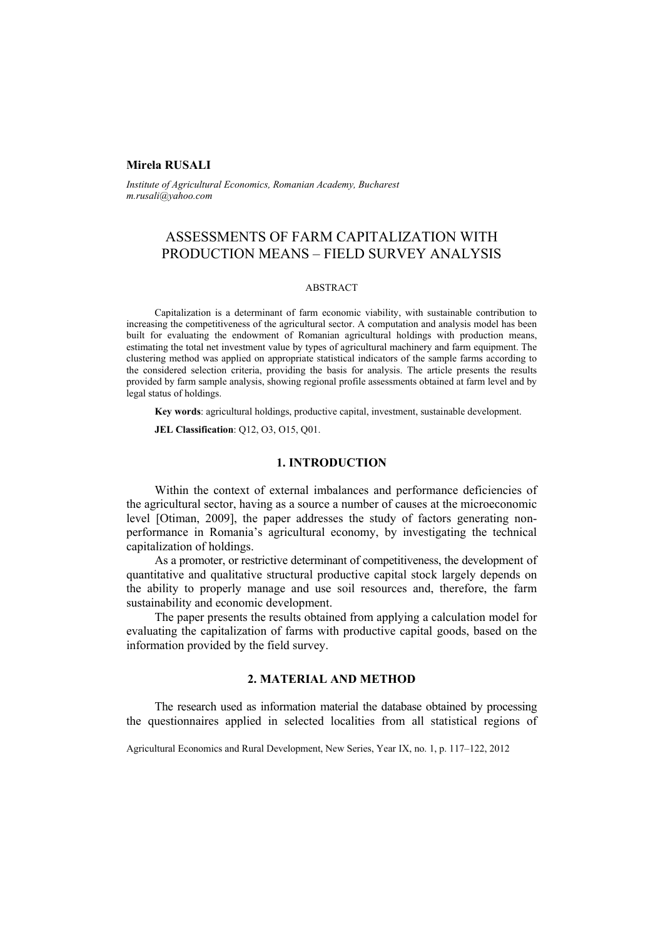### **Mirela RUSALI**

*Institute of Agricultural Economics, Romanian Academy, Bucharest m.rusali@yahoo.com* 

# ASSESSMENTS OF FARM CAPITALIZATION WITH PRODUCTION MEANS – FIELD SURVEY ANALYSIS

#### ABSTRACT

Capitalization is a determinant of farm economic viability, with sustainable contribution to increasing the competitiveness of the agricultural sector. A computation and analysis model has been built for evaluating the endowment of Romanian agricultural holdings with production means, estimating the total net investment value by types of agricultural machinery and farm equipment. The clustering method was applied on appropriate statistical indicators of the sample farms according to the considered selection criteria, providing the basis for analysis. The article presents the results provided by farm sample analysis, showing regional profile assessments obtained at farm level and by legal status of holdings.

**Key words**: agricultural holdings, productive capital, investment, sustainable development.

**JEL Classification**: Q12, O3, O15, Q01.

### **1. INTRODUCTION**

Within the context of external imbalances and performance deficiencies of the agricultural sector, having as a source a number of causes at the microeconomic level [Otiman, 2009], the paper addresses the study of factors generating nonperformance in Romania's agricultural economy, by investigating the technical capitalization of holdings.

As a promoter, or restrictive determinant of competitiveness, the development of quantitative and qualitative structural productive capital stock largely depends on the ability to properly manage and use soil resources and, therefore, the farm sustainability and economic development.

The paper presents the results obtained from applying a calculation model for evaluating the capitalization of farms with productive capital goods, based on the information provided by the field survey.

# **2. MATERIAL AND METHOD**

The research used as information material the database obtained by processing the questionnaires applied in selected localities from all statistical regions of

Agricultural Economics and Rural Development, New Series, Year IX, no. 1, p. 117–122, 2012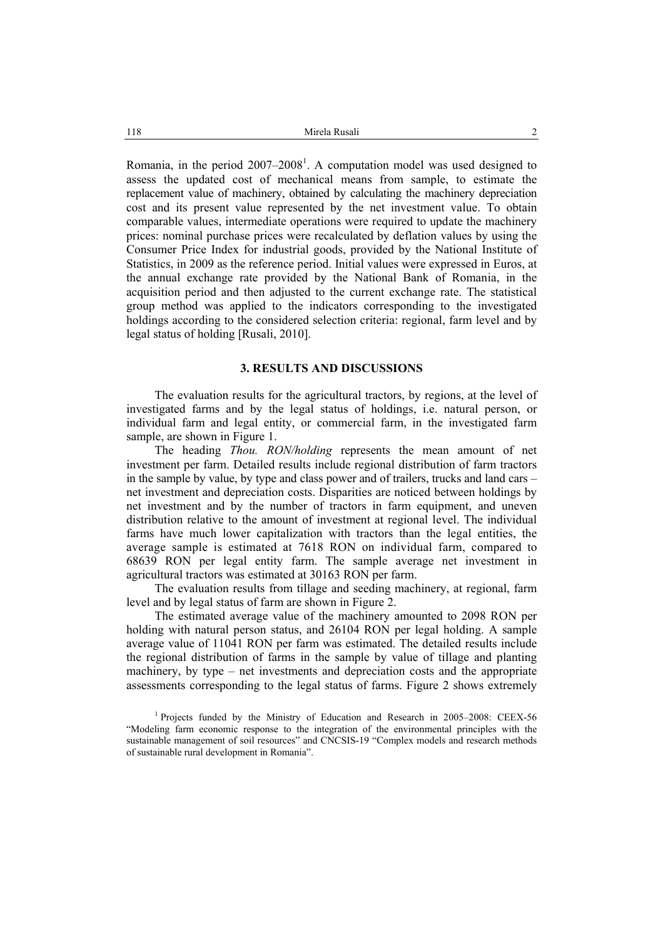Romania, in the period  $2007-2008$ <sup>1</sup>. A computation model was used designed to assess the updated cost of mechanical means from sample, to estimate the replacement value of machinery, obtained by calculating the machinery depreciation cost and its present value represented by the net investment value. To obtain comparable values, intermediate operations were required to update the machinery prices: nominal purchase prices were recalculated by deflation values by using the Consumer Price Index for industrial goods, provided by the National Institute of Statistics, in 2009 as the reference period. Initial values were expressed in Euros, at the annual exchange rate provided by the National Bank of Romania, in the acquisition period and then adjusted to the current exchange rate. The statistical group method was applied to the indicators corresponding to the investigated holdings according to the considered selection criteria: regional, farm level and by legal status of holding [Rusali, 2010].

#### **3. RESULTS AND DISCUSSIONS**

The evaluation results for the agricultural tractors, by regions, at the level of investigated farms and by the legal status of holdings, i.e. natural person, or individual farm and legal entity, or commercial farm, in the investigated farm sample, are shown in Figure 1.

The heading *Thou. RON/holding* represents the mean amount of net investment per farm. Detailed results include regional distribution of farm tractors in the sample by value, by type and class power and of trailers, trucks and land cars – net investment and depreciation costs. Disparities are noticed between holdings by net investment and by the number of tractors in farm equipment, and uneven distribution relative to the amount of investment at regional level. The individual farms have much lower capitalization with tractors than the legal entities, the average sample is estimated at 7618 RON on individual farm, compared to 68639 RON per legal entity farm. The sample average net investment in agricultural tractors was estimated at 30163 RON per farm.

The evaluation results from tillage and seeding machinery, at regional, farm level and by legal status of farm are shown in Figure 2.

The estimated average value of the machinery amounted to 2098 RON per holding with natural person status, and 26104 RON per legal holding. A sample average value of 11041 RON per farm was estimated. The detailed results include the regional distribution of farms in the sample by value of tillage and planting machinery, by type – net investments and depreciation costs and the appropriate assessments corresponding to the legal status of farms. Figure 2 shows extremely

<sup>&</sup>lt;sup>1</sup> Projects funded by the Ministry of Education and Research in 2005–2008: CEEX-56 "Modeling farm economic response to the integration of the environmental principles with the sustainable management of soil resources" and CNCSIS-19 "Complex models and research methods of sustainable rural development in Romania".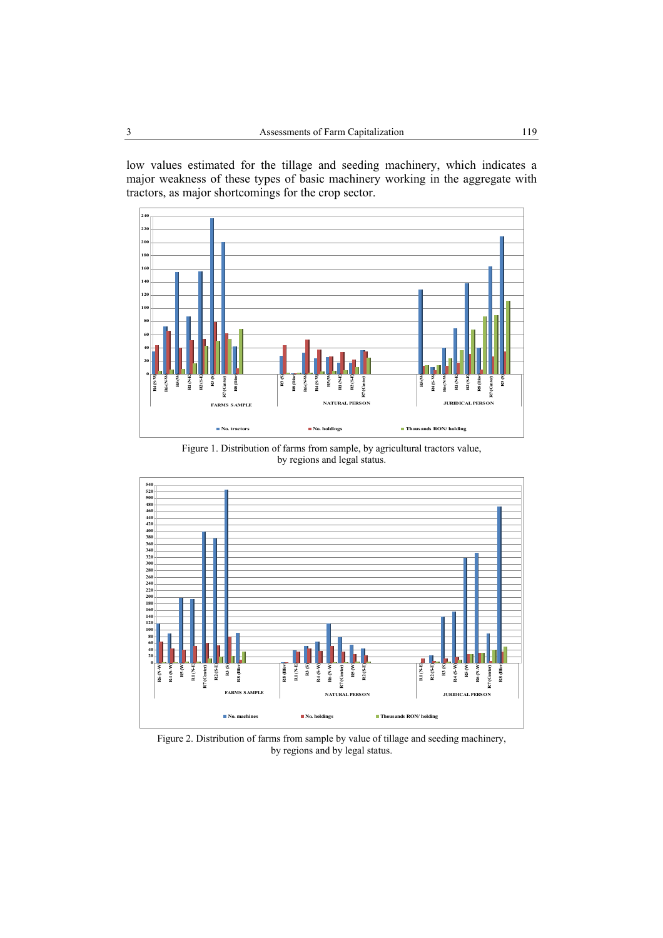low values estimated for the tillage and seeding machinery, which indicates a major weakness of these types of basic machinery working in the aggregate with tractors, as major shortcomings for the crop sector.



Figure 1. Distribution of farms from sample, by agricultural tractors value, by regions and legal status.



Figure 2. Distribution of farms from sample by value of tillage and seeding machinery, by regions and by legal status.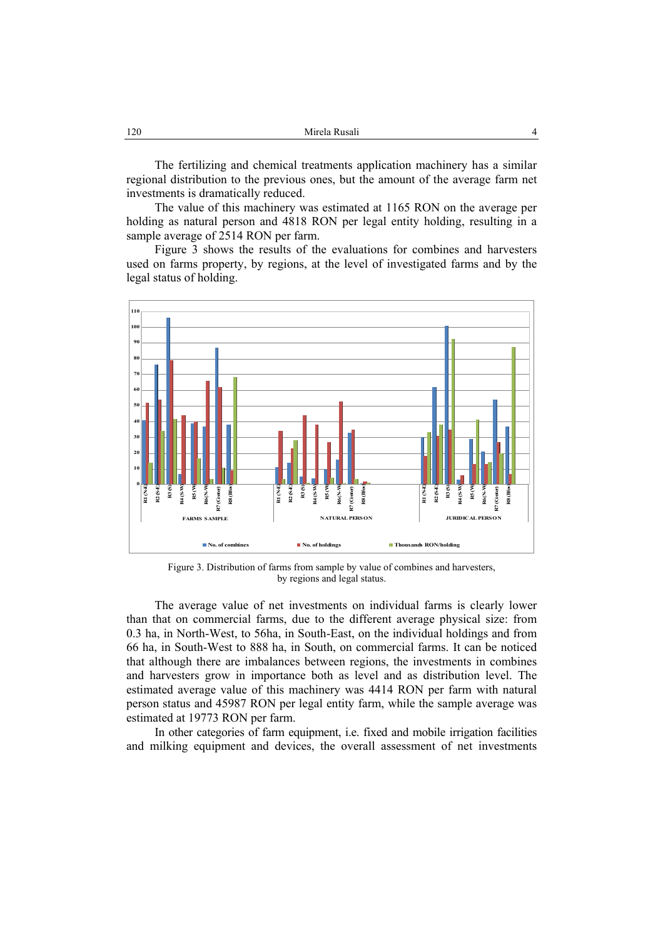| 120 | Mirela Rusali |  |
|-----|---------------|--|
|     |               |  |

The fertilizing and chemical treatments application machinery has a similar regional distribution to the previous ones, but the amount of the average farm net investments is dramatically reduced.

The value of this machinery was estimated at 1165 RON on the average per holding as natural person and 4818 RON per legal entity holding, resulting in a sample average of 2514 RON per farm.

Figure 3 shows the results of the evaluations for combines and harvesters used on farms property, by regions, at the level of investigated farms and by the legal status of holding.



Figure 3. Distribution of farms from sample by value of combines and harvesters, by regions and legal status.

The average value of net investments on individual farms is clearly lower than that on commercial farms, due to the different average physical size: from 0.3 ha, in North-West, to 56ha, in South-East, on the individual holdings and from 66 ha, in South-West to 888 ha, in South, on commercial farms. It can be noticed that although there are imbalances between regions, the investments in combines and harvesters grow in importance both as level and as distribution level. The estimated average value of this machinery was 4414 RON per farm with natural person status and 45987 RON per legal entity farm, while the sample average was estimated at 19773 RON per farm.

In other categories of farm equipment, i.e. fixed and mobile irrigation facilities and milking equipment and devices, the overall assessment of net investments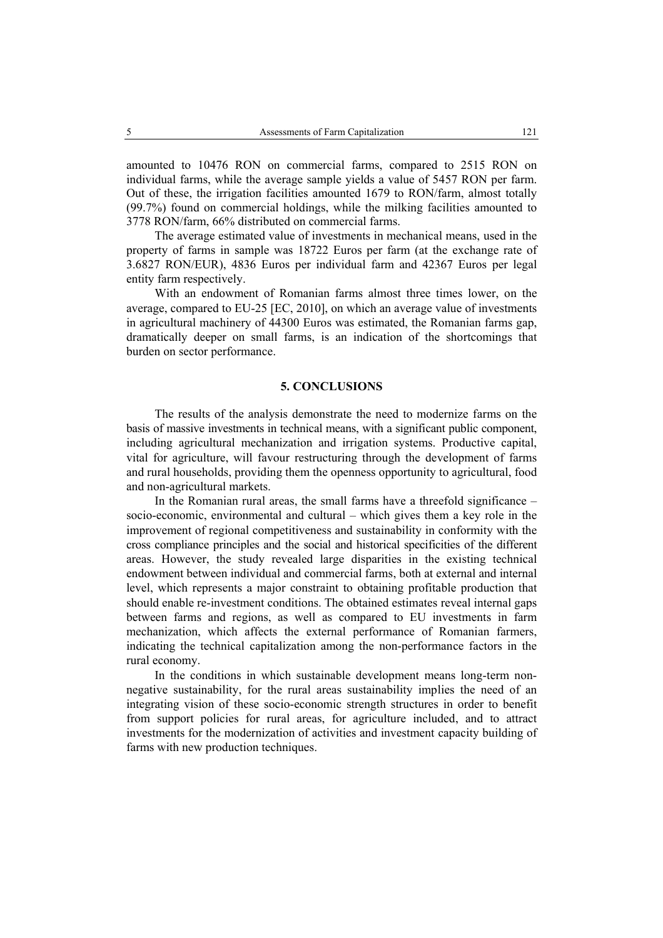amounted to 10476 RON on commercial farms, compared to 2515 RON on individual farms, while the average sample yields a value of 5457 RON per farm. Out of these, the irrigation facilities amounted 1679 to RON/farm, almost totally (99.7%) found on commercial holdings, while the milking facilities amounted to 3778 RON/farm, 66% distributed on commercial farms.

The average estimated value of investments in mechanical means, used in the property of farms in sample was 18722 Euros per farm (at the exchange rate of 3.6827 RON/EUR), 4836 Euros per individual farm and 42367 Euros per legal entity farm respectively.

With an endowment of Romanian farms almost three times lower, on the average, compared to EU-25 [EC, 2010], on which an average value of investments in agricultural machinery of 44300 Euros was estimated, the Romanian farms gap, dramatically deeper on small farms, is an indication of the shortcomings that burden on sector performance.

### **5. CONCLUSIONS**

The results of the analysis demonstrate the need to modernize farms on the basis of massive investments in technical means, with a significant public component, including agricultural mechanization and irrigation systems. Productive capital, vital for agriculture, will favour restructuring through the development of farms and rural households, providing them the openness opportunity to agricultural, food and non-agricultural markets.

In the Romanian rural areas, the small farms have a threefold significance – socio-economic, environmental and cultural – which gives them a key role in the improvement of regional competitiveness and sustainability in conformity with the cross compliance principles and the social and historical specificities of the different areas. However, the study revealed large disparities in the existing technical endowment between individual and commercial farms, both at external and internal level, which represents a major constraint to obtaining profitable production that should enable re-investment conditions. The obtained estimates reveal internal gaps between farms and regions, as well as compared to EU investments in farm mechanization, which affects the external performance of Romanian farmers, indicating the technical capitalization among the non-performance factors in the rural economy.

In the conditions in which sustainable development means long-term nonnegative sustainability, for the rural areas sustainability implies the need of an integrating vision of these socio-economic strength structures in order to benefit from support policies for rural areas, for agriculture included, and to attract investments for the modernization of activities and investment capacity building of farms with new production techniques.